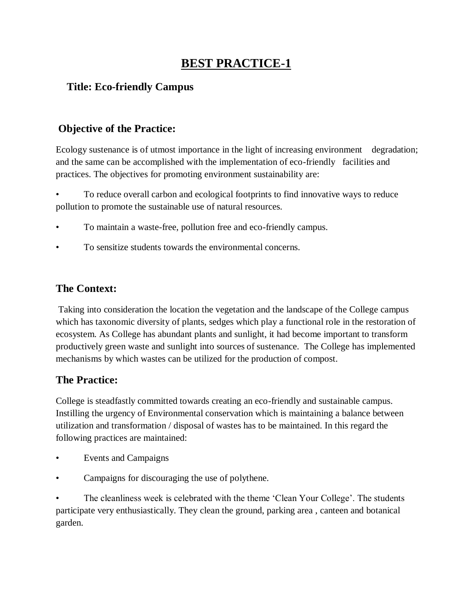# **BEST PRACTICE-1**

### **Title: Eco-friendly Campus**

### **Objective of the Practice:**

Ecology sustenance is of utmost importance in the light of increasing environment degradation; and the same can be accomplished with the implementation of eco-friendly facilities and practices. The objectives for promoting environment sustainability are:

• To reduce overall carbon and ecological footprints to find innovative ways to reduce pollution to promote the sustainable use of natural resources.

- To maintain a waste-free, pollution free and eco-friendly campus.
- To sensitize students towards the environmental concerns.

### **The Context:**

Taking into consideration the location the vegetation and the landscape of the College campus which has taxonomic diversity of plants, sedges which play a functional role in the restoration of ecosystem. As College has abundant plants and sunlight, it had become important to transform productively green waste and sunlight into sources of sustenance. The College has implemented mechanisms by which wastes can be utilized for the production of compost.

### **The Practice:**

College is steadfastly committed towards creating an eco-friendly and sustainable campus. Instilling the urgency of Environmental conservation which is maintaining a balance between utilization and transformation / disposal of wastes has to be maintained. In this regard the following practices are maintained:

- Events and Campaigns
- Campaigns for discouraging the use of polythene.

The cleanliness week is celebrated with the theme 'Clean Your College'. The students participate very enthusiastically. They clean the ground, parking area , canteen and botanical garden.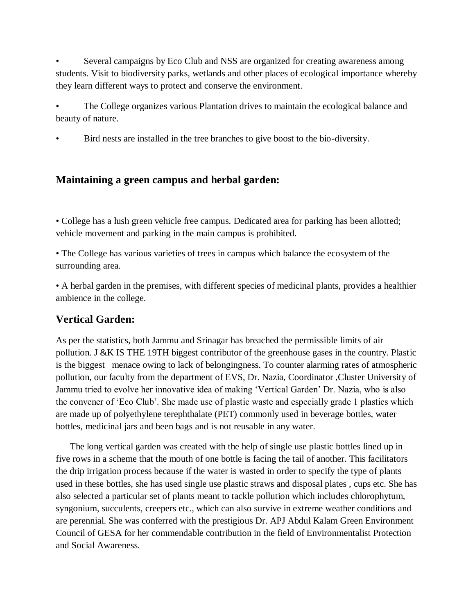Several campaigns by Eco Club and NSS are organized for creating awareness among students. Visit to biodiversity parks, wetlands and other places of ecological importance whereby they learn different ways to protect and conserve the environment.

The College organizes various Plantation drives to maintain the ecological balance and beauty of nature.

• Bird nests are installed in the tree branches to give boost to the bio-diversity.

#### **Maintaining a green campus and herbal garden:**

• College has a lush green vehicle free campus. Dedicated area for parking has been allotted; vehicle movement and parking in the main campus is prohibited.

• The College has various varieties of trees in campus which balance the ecosystem of the surrounding area.

• A herbal garden in the premises, with different species of medicinal plants, provides a healthier ambience in the college.

### **Vertical Garden:**

As per the statistics, both Jammu and Srinagar has breached the permissible limits of air pollution. J &K IS THE 19TH biggest contributor of the greenhouse gases in the country. Plastic is the biggest menace owing to lack of belongingness. To counter alarming rates of atmospheric pollution, our faculty from the department of EVS, Dr. Nazia, Coordinator ,Cluster University of Jammu tried to evolve her innovative idea of making 'Vertical Garden' Dr. Nazia, who is also the convener of 'Eco Club'. She made use of plastic waste and especially grade 1 plastics which are made up of polyethylene terephthalate (PET) commonly used in beverage bottles, water bottles, medicinal jars and been bags and is not reusable in any water.

 The long vertical garden was created with the help of single use plastic bottles lined up in five rows in a scheme that the mouth of one bottle is facing the tail of another. This facilitators the drip irrigation process because if the water is wasted in order to specify the type of plants used in these bottles, she has used single use plastic straws and disposal plates , cups etc. She has also selected a particular set of plants meant to tackle pollution which includes chlorophytum, syngonium, succulents, creepers etc., which can also survive in extreme weather conditions and are perennial. She was conferred with the prestigious Dr. APJ Abdul Kalam Green Environment Council of GESA for her commendable contribution in the field of Environmentalist Protection and Social Awareness.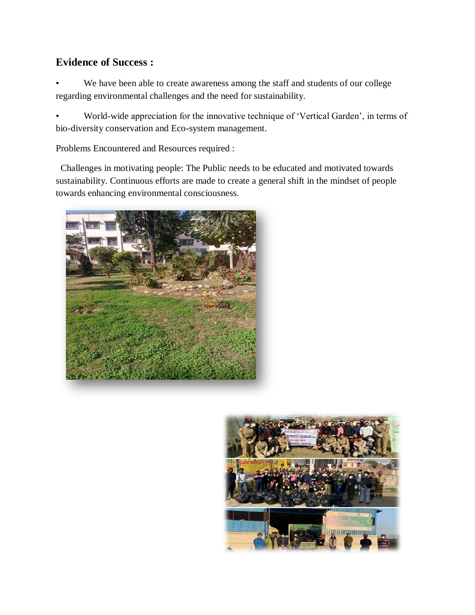### **Evidence of Success :**

We have been able to create awareness among the staff and students of our college regarding environmental challenges and the need for sustainability.

• World-wide appreciation for the innovative technique of 'Vertical Garden', in terms of bio-diversity conservation and Eco-system management.

Problems Encountered and Resources required :

 Challenges in motivating people: The Public needs to be educated and motivated towards sustainability. Continuous efforts are made to create a general shift in the mindset of people towards enhancing environmental consciousness.



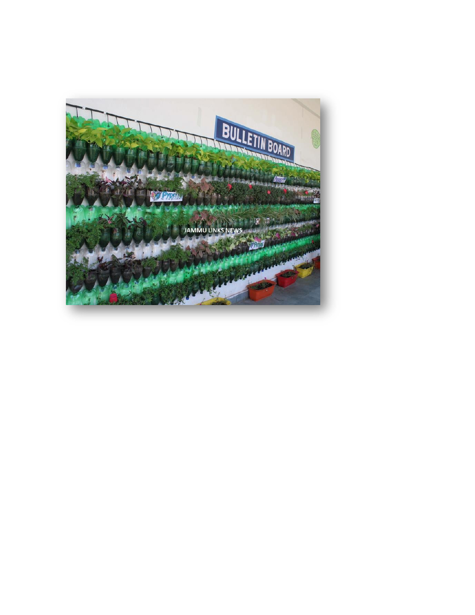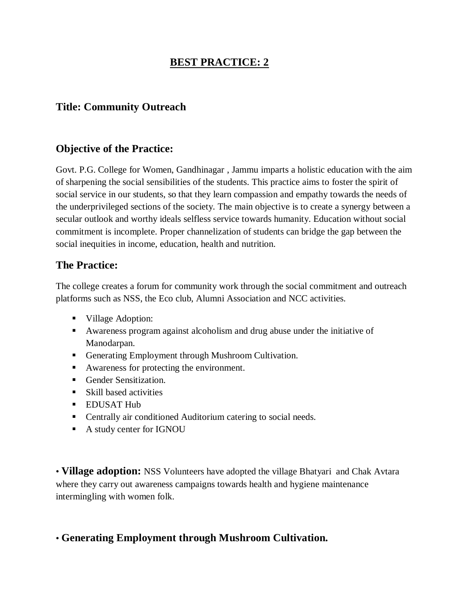### **BEST PRACTICE: 2**

### **Title: Community Outreach**

#### **Objective of the Practice:**

Govt. P.G. College for Women, Gandhinagar , Jammu imparts a holistic education with the aim of sharpening the social sensibilities of the students. This practice aims to foster the spirit of social service in our students, so that they learn compassion and empathy towards the needs of the underprivileged sections of the society. The main objective is to create a synergy between a secular outlook and worthy ideals selfless service towards humanity. Education without social commitment is incomplete. Proper channelization of students can bridge the gap between the social inequities in income, education, health and nutrition.

#### **The Practice:**

The college creates a forum for community work through the social commitment and outreach platforms such as NSS, the Eco club, Alumni Association and NCC activities.

- Village Adoption:
- Awareness program against alcoholism and drug abuse under the initiative of Manodarpan.
- Generating Employment through Mushroom Cultivation.
- Awareness for protecting the environment.
- Gender Sensitization.
- Skill based activities
- **EDUSAT Hub**
- Centrally air conditioned Auditorium catering to social needs.
- A study center for IGNOU

• **Village adoption:** NSS Volunteers have adopted the village Bhatyari and Chak Avtara where they carry out awareness campaigns towards health and hygiene maintenance intermingling with women folk.

#### • **Generating Employment through Mushroom Cultivation.**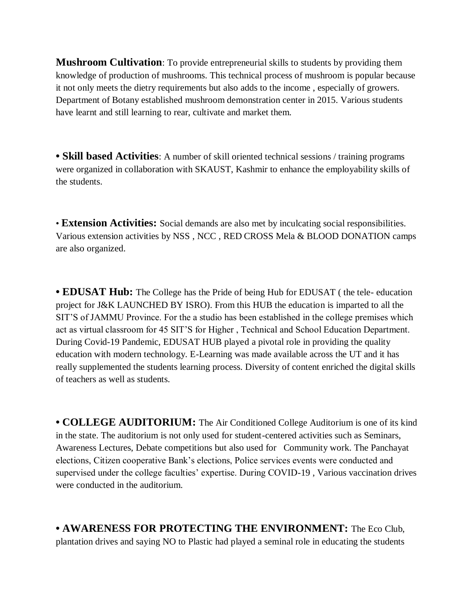**Mushroom Cultivation**: To provide entrepreneurial skills to students by providing them knowledge of production of mushrooms. This technical process of mushroom is popular because it not only meets the dietry requirements but also adds to the income , especially of growers. Department of Botany established mushroom demonstration center in 2015. Various students have learnt and still learning to rear, cultivate and market them.

• **Skill based Activities**: A number of skill oriented technical sessions / training programs were organized in collaboration with SKAUST, Kashmir to enhance the employability skills of the students.

• **Extension Activities:** Social demands are also met by inculcating social responsibilities. Various extension activities by NSS , NCC , RED CROSS Mela & BLOOD DONATION camps are also organized.

• **EDUSAT Hub:** The College has the Pride of being Hub for EDUSAT (the tele-education project for J&K LAUNCHED BY ISRO). From this HUB the education is imparted to all the SIT'S of JAMMU Province. For the a studio has been established in the college premises which act as virtual classroom for 45 SIT'S for Higher , Technical and School Education Department. During Covid-19 Pandemic, EDUSAT HUB played a pivotal role in providing the quality education with modern technology. E-Learning was made available across the UT and it has really supplemented the students learning process. Diversity of content enriched the digital skills of teachers as well as students.

**• COLLEGE AUDITORIUM:** The Air Conditioned College Auditorium is one of its kind in the state. The auditorium is not only used for student-centered activities such as Seminars, Awareness Lectures, Debate competitions but also used for Community work. The Panchayat elections, Citizen cooperative Bank's elections, Police services events were conducted and supervised under the college faculties' expertise. During COVID-19 , Various vaccination drives were conducted in the auditorium.

**• AWARENESS FOR PROTECTING THE ENVIRONMENT:** The Eco Club, plantation drives and saying NO to Plastic had played a seminal role in educating the students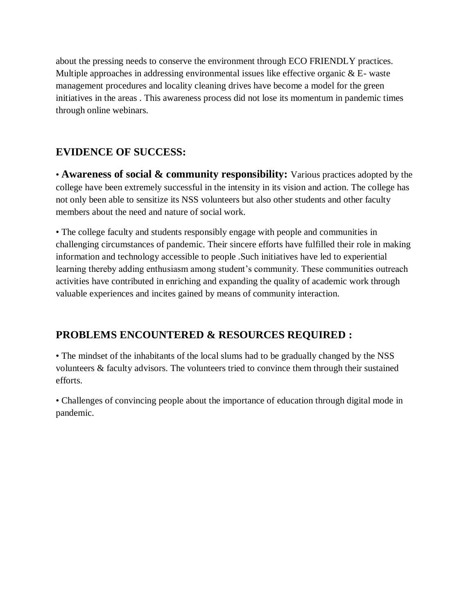about the pressing needs to conserve the environment through ECO FRIENDLY practices. Multiple approaches in addressing environmental issues like effective organic  $&\text{E}-$  waste management procedures and locality cleaning drives have become a model for the green initiatives in the areas . This awareness process did not lose its momentum in pandemic times through online webinars.

### **EVIDENCE OF SUCCESS:**

• **Awareness of social & community responsibility:** Various practices adopted by the college have been extremely successful in the intensity in its vision and action. The college has not only been able to sensitize its NSS volunteers but also other students and other faculty members about the need and nature of social work.

• The college faculty and students responsibly engage with people and communities in challenging circumstances of pandemic. Their sincere efforts have fulfilled their role in making information and technology accessible to people .Such initiatives have led to experiential learning thereby adding enthusiasm among student's community. These communities outreach activities have contributed in enriching and expanding the quality of academic work through valuable experiences and incites gained by means of community interaction.

## **PROBLEMS ENCOUNTERED & RESOURCES REQUIRED :**

• The mindset of the inhabitants of the local slums had to be gradually changed by the NSS volunteers & faculty advisors. The volunteers tried to convince them through their sustained efforts.

• Challenges of convincing people about the importance of education through digital mode in pandemic.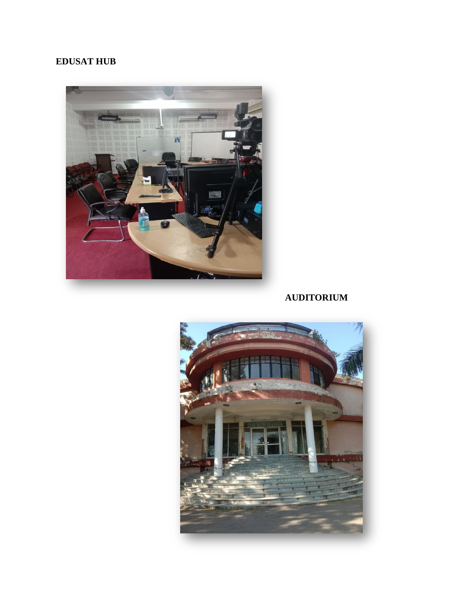### **EDUSAT HUB**



**AUDITORIUM**